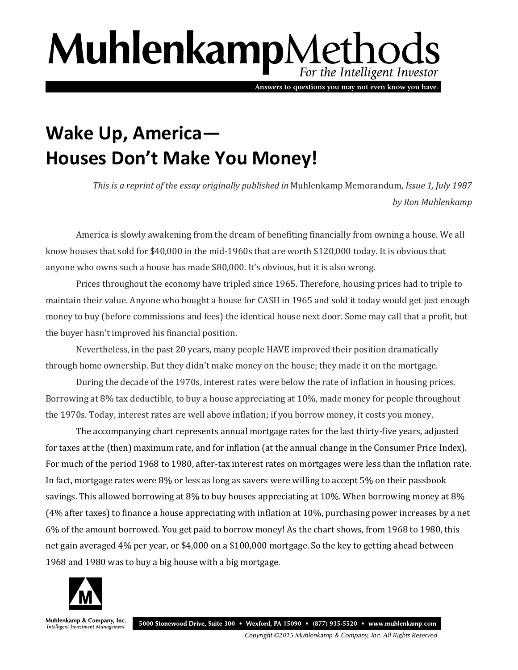## MuhlenkampMethods For the Intelligent Investor

Answers to questions you may not even know you have.

## **Wake Up, America— Houses Don't Make You Money!**

*This is a reprint of the essay originally published in* Muhlenkamp Memorandum, *Issue 1, July 1987 by Ron Muhlenkamp*

America is slowly awakening from the dream of benefiting financially from owning a house. We all know houses that sold for \$40,000 in the mid-1960s that are worth \$120,000 today. It is obvious that anyone who owns such a house has made \$80,000. It's obvious, but it is also wrong.

Prices throughout the economy have tripled since 1965. Therefore, housing prices had to triple to maintain their value. Anyone who bought a house for CASH in 1965 and sold it today would get just enough money to buy (before commissions and fees) the identical house next door. Some may call that a profit, but the buyer hasn't improved his financial position.

Nevertheless, in the past 20 years, many people HAVE improved their position dramatically through home ownership. But they didn't make money on the house; they made it on the mortgage.

During the decade of the 1970s, interest rates were below the rate of inflation in housing prices. Borrowing at 8% tax deductible, to buy a house appreciating at 10%, made money for people throughout the 1970s. Today, interest rates are well above inflation; if you borrow money, it costs you money.

The accompanying chart represents annual mortgage rates for the last thirty-five years, adjusted for taxes at the (then) maximum rate, and for inflation (at the annual change in the Consumer Price Index). For much of the period 1968 to 1980, after-tax interest rates on mortgages were less than the inflation rate. In fact, mortgage rates were 8% or less as long as savers were willing to accept 5% on their passbook savings. This allowed borrowing at 8% to buy houses appreciating at 10%. When borrowing money at 8% (4% after taxes) to finance a house appreciating with inflation at 10%, purchasing power increases by a net 6% of the amount borrowed. You get paid to borrow money! As the chart shows, from 1968 to 1980, this net gain averaged 4% per year, or \$4,000 on a \$100,000 mortgage. So the key to getting ahead between 1968 and 1980 was to buy a big house with a big mortgage.



Muhlenkamp & Company, Inc. Intelligent Investment Management